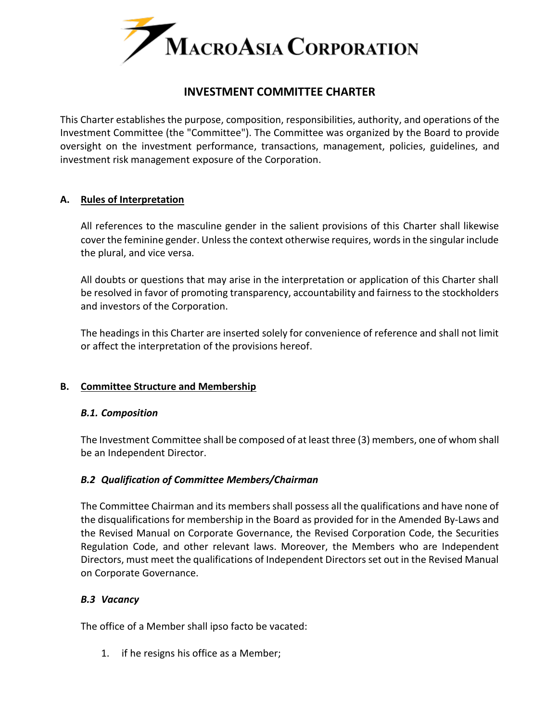

# **INVESTMENT COMMITTEE CHARTER**

This Charter establishes the purpose, composition, responsibilities, authority, and operations of the Investment Committee (the "Committee"). The Committee was organized by the Board to provide oversight on the investment performance, transactions, management, policies, guidelines, and investment risk management exposure of the Corporation.

### **A. Rules of Interpretation**

All references to the masculine gender in the salient provisions of this Charter shall likewise cover the feminine gender. Unless the context otherwise requires, words in the singular include the plural, and vice versa.

All doubts or questions that may arise in the interpretation or application of this Charter shall be resolved in favor of promoting transparency, accountability and fairness to the stockholders and investors of the Corporation.

The headings in this Charter are inserted solely for convenience of reference and shall not limit or affect the interpretation of the provisions hereof.

# **B. Committee Structure and Membership**

#### *B.1. Composition*

The Investment Committee shall be composed of at least three (3) members, one of whom shall be an Independent Director.

#### *B.2 Qualification of Committee Members/Chairman*

The Committee Chairman and its members shall possess all the qualifications and have none of the disqualifications for membership in the Board as provided for in the Amended By-Laws and the Revised Manual on Corporate Governance, the Revised Corporation Code, the Securities Regulation Code, and other relevant laws. Moreover, the Members who are Independent Directors, must meet the qualifications of Independent Directors set out in the Revised Manual on Corporate Governance.

#### *B.3 Vacancy*

The office of a Member shall ipso facto be vacated:

1. if he resigns his office as a Member;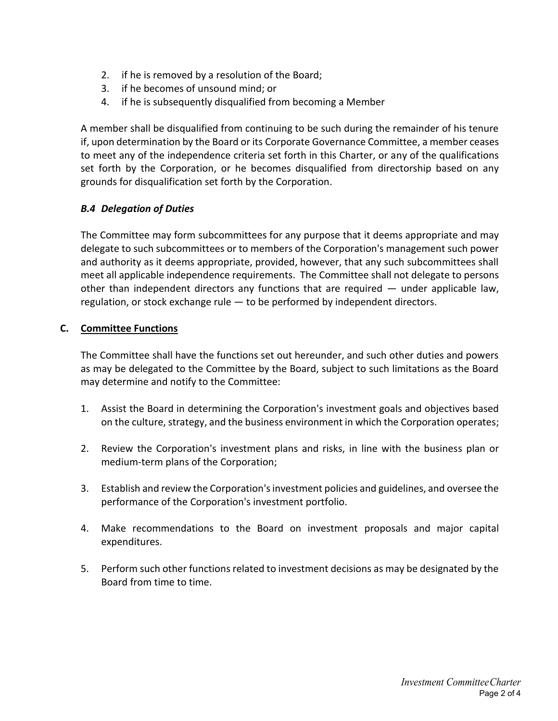- 2. if he is removed by a resolution of the Board;
- 3. if he becomes of unsound mind; or
- 4. if he is subsequently disqualified from becoming a Member

A member shall be disqualified from continuing to be such during the remainder of his tenure if, upon determination by the Board or its Corporate Governance Committee, a member ceases to meet any of the independence criteria set forth in this Charter, or any of the qualifications set forth by the Corporation, or he becomes disqualified from directorship based on any grounds for disqualification set forth by the Corporation.

# *B.4 Delegation of Duties*

The Committee may form subcommittees for any purpose that it deems appropriate and may delegate to such subcommittees or to members of the Corporation's management such power and authority as it deems appropriate, provided, however, that any such subcommittees shall meet all applicable independence requirements. The Committee shall not delegate to persons other than independent directors any functions that are required — under applicable law, regulation, or stock exchange rule — to be performed by independent directors.

# **C. Committee Functions**

The Committee shall have the functions set out hereunder, and such other duties and powers as may be delegated to the Committee by the Board, subject to such limitations as the Board may determine and notify to the Committee:

- 1. Assist the Board in determining the Corporation's investment goals and objectives based on the culture, strategy, and the business environment in which the Corporation operates;
- 2. Review the Corporation's investment plans and risks, in line with the business plan or medium-term plans of the Corporation;
- 3. Establish and review the Corporation's investment policies and guidelines, and oversee the performance of the Corporation's investment portfolio.
- 4. Make recommendations to the Board on investment proposals and major capital expenditures.
- 5. Perform such other functions related to investment decisions as may be designated by the Board from time to time.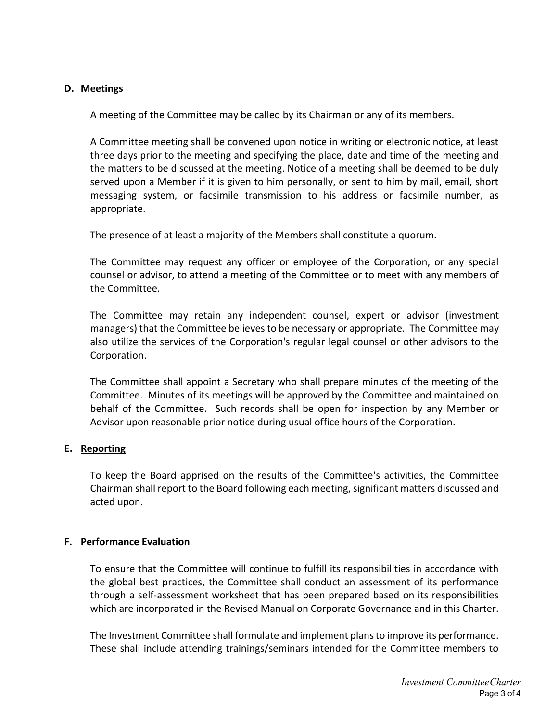### **D. Meetings**

A meeting of the Committee may be called by its Chairman or any of its members.

A Committee meeting shall be convened upon notice in writing or electronic notice, at least three days prior to the meeting and specifying the place, date and time of the meeting and the matters to be discussed at the meeting. Notice of a meeting shall be deemed to be duly served upon a Member if it is given to him personally, or sent to him by mail, email, short messaging system, or facsimile transmission to his address or facsimile number, as appropriate.

The presence of at least a majority of the Members shall constitute a quorum.

The Committee may request any officer or employee of the Corporation, or any special counsel or advisor, to attend a meeting of the Committee or to meet with any members of the Committee.

The Committee may retain any independent counsel, expert or advisor (investment managers) that the Committee believes to be necessary or appropriate. The Committee may also utilize the services of the Corporation's regular legal counsel or other advisors to the Corporation.

The Committee shall appoint a Secretary who shall prepare minutes of the meeting of the Committee. Minutes of its meetings will be approved by the Committee and maintained on behalf of the Committee. Such records shall be open for inspection by any Member or Advisor upon reasonable prior notice during usual office hours of the Corporation.

# **E. Reporting**

To keep the Board apprised on the results of the Committee's activities, the Committee Chairman shall report to the Board following each meeting, significant matters discussed and acted upon.

#### **F. Performance Evaluation**

To ensure that the Committee will continue to fulfill its responsibilities in accordance with the global best practices, the Committee shall conduct an assessment of its performance through a self‐assessment worksheet that has been prepared based on its responsibilities which are incorporated in the Revised Manual on Corporate Governance and in this Charter.

The Investment Committee shall formulate and implement plans to improve its performance. These shall include attending trainings/seminars intended for the Committee members to